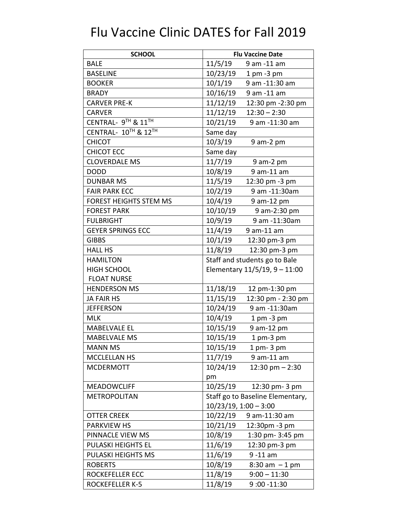| <b>SCHOOL</b>                 | <b>Flu Vaccine Date</b>                     |  |
|-------------------------------|---------------------------------------------|--|
| <b>BALE</b>                   | 11/5/19<br>9 am -11 am                      |  |
| <b>BASELINE</b>               | 10/23/19<br>$1$ pm $-3$ pm                  |  |
| <b>BOOKER</b>                 | 10/1/19<br>9 am -11:30 am                   |  |
| <b>BRADY</b>                  | 10/16/19<br>9 am -11 am                     |  |
| <b>CARVER PRE-K</b>           | 11/12/19<br>12:30 pm -2:30 pm               |  |
| <b>CARVER</b>                 | 11/12/19<br>$12:30 - 2:30$                  |  |
| CENTRAL- 9TH & 11TH           | 10/21/19<br>9 am -11:30 am                  |  |
| CENTRAL- 10TH & 12TH          | Same day                                    |  |
| <b>CHICOT</b>                 | 10/3/19<br>$9$ am- $2$ pm                   |  |
| <b>CHICOT ECC</b>             | Same day                                    |  |
| <b>CLOVERDALE MS</b>          | 11/7/19<br>$9$ am- $2$ pm                   |  |
| <b>DODD</b>                   | 10/8/19<br>9 am-11 am                       |  |
| <b>DUNBAR MS</b>              | 11/5/19<br>12:30 pm -3 pm                   |  |
| <b>FAIR PARK ECC</b>          | 10/2/19<br>9 am -11:30am                    |  |
| <b>FOREST HEIGHTS STEM MS</b> | 10/4/19<br>9 am-12 pm                       |  |
| <b>FOREST PARK</b>            | 10/10/19<br>9 am-2:30 pm                    |  |
| <b>FULBRIGHT</b>              | 10/9/19<br>9 am -11:30am                    |  |
| <b>GEYER SPRINGS ECC</b>      | 11/4/19<br>9 am-11 am                       |  |
| <b>GIBBS</b>                  | 10/1/19<br>12:30 pm-3 pm                    |  |
| <b>HALL HS</b>                | 11/8/19<br>12:30 pm-3 pm                    |  |
| <b>HAMILTON</b>               | Staff and students go to Bale               |  |
| <b>HIGH SCHOOL</b>            | Elementary $11/5/19$ , $9 - 11:00$          |  |
| <b>FLOAT NURSE</b>            |                                             |  |
| <b>HENDERSON MS</b>           | 11/18/19<br>12 pm-1:30 pm                   |  |
| <b>JA FAIR HS</b>             | 11/15/19<br>12:30 pm - 2:30 pm              |  |
| <b>JEFFERSON</b>              | 10/24/19<br>9 am -11:30am                   |  |
| <b>MLK</b>                    | 10/4/19<br>$1$ pm $-3$ pm                   |  |
| <b>MABELVALE EL</b>           | 10/15/19<br>9 am-12 pm                      |  |
| <b>MABELVALE MS</b>           | 10/15/19<br>1 pm-3 pm                       |  |
| <b>MANN MS</b>                | 10/15/19<br>$1$ pm- $3$ pm                  |  |
| <b>MCCLELLAN HS</b>           | 11/7/19<br>9 am-11 am                       |  |
| <b>MCDERMOTT</b>              | 10/24/19<br>$12:30$ pm $- 2:30$             |  |
|                               | pm                                          |  |
| <b>MEADOWCLIFF</b>            | 10/25/19<br>12:30 pm-3 pm                   |  |
| <b>METROPOLITAN</b>           | Staff go to Baseline Elementary,            |  |
|                               | $10/23/19, 1:00 - 3:00$                     |  |
| <b>OTTER CREEK</b>            | 10/22/19<br>9 am-11:30 am                   |  |
| <b>PARKVIEW HS</b>            | 10/21/19<br>12:30pm -3 pm                   |  |
| PINNACLE VIEW MS              | 10/8/19<br>1:30 pm- 3:45 pm                 |  |
| PULASKI HEIGHTS EL            | 12:30 pm-3 pm<br>11/6/19                    |  |
| PULASKI HEIGHTS MS            | 11/6/19<br>$9 - 11$ am                      |  |
| <b>ROBERTS</b>                | 10/8/19<br>$8:30 \text{ am } -1 \text{ pm}$ |  |
| ROCKEFELLER ECC               | 11/8/19<br>$9:00 - 11:30$                   |  |
| <b>ROCKEFELLER K-5</b>        | 11/8/19<br>$9:00 - 11:30$                   |  |

## Flu Vaccine Clinic DATES for Fall 2019